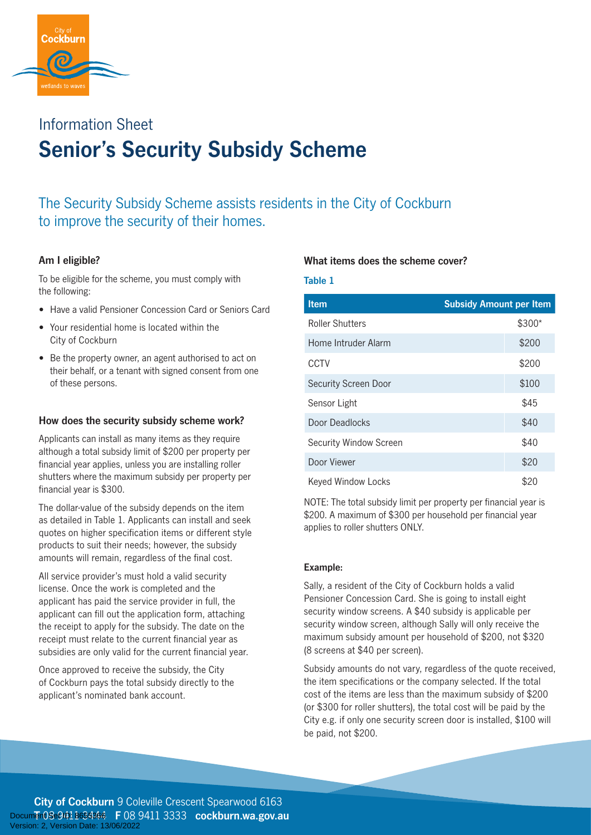

# **Senior's Security Subsidy Scheme** Information Sheet

The Security Subsidy Scheme assists residents in the City of Cockburn to improve the security of their homes.

## **Am I eligible?**

To be eligible for the scheme, you must comply with the following:

- Have a valid Pensioner Concession Card or Seniors Card
- Your residential home is located within the City of Cockburn
- Be the property owner, an agent authorised to act on their behalf, or a tenant with signed consent from one of these persons.

## **How does the security subsidy scheme work?**

Applicants can install as many items as they require although a total subsidy limit of \$200 per property per financial year applies, unless you are installing roller shutters where the maximum subsidy per property per financial year is \$300.

The dollar-value of the subsidy depends on the item as detailed in Table 1. Applicants can install and seek quotes on higher specification items or different style products to suit their needs; however, the subsidy amounts will remain, regardless of the final cost.

All service provider's must hold a valid security license. Once the work is completed and the applicant has paid the service provider in full, the applicant can fill out the application form, attaching the receipt to apply for the subsidy. The date on the receipt must relate to the current financial year as subsidies are only valid for the current financial year.

Once approved to receive the subsidy, the City of Cockburn pays the total subsidy directly to the applicant's nominated bank account.

### **What items does the scheme cover?**

#### **Table 1**

| <b>Item</b>            | <b>Subsidy Amount per Item</b> |
|------------------------|--------------------------------|
| <b>Roller Shutters</b> | \$300*                         |
| Home Intruder Alarm    | \$200                          |
| CCTV                   | \$200                          |
| Security Screen Door   | \$100                          |
| Sensor Light           | \$45                           |
| Door Deadlocks         | \$40                           |
| Security Window Screen | \$40                           |
| Door Viewer            | \$20                           |
| Keyed Window Locks     | \$20                           |

NOTE: The total subsidy limit per property per financial year is \$200. A maximum of \$300 per household per financial year applies to roller shutters ONLY.

### **Example:**

Sally, a resident of the City of Cockburn holds a valid Pensioner Concession Card. She is going to install eight security window screens. A \$40 subsidy is applicable per security window screen, although Sally will only receive the maximum subsidy amount per household of \$200, not \$320 (8 screens at \$40 per screen).

Subsidy amounts do not vary, regardless of the quote received, the item specifications or the company selected. If the total cost of the items are less than the maximum subsidy of \$200 (or \$300 for roller shutters), the total cost will be paid by the City e.g. if only one security screen door is installed, \$100 will be paid, not \$200.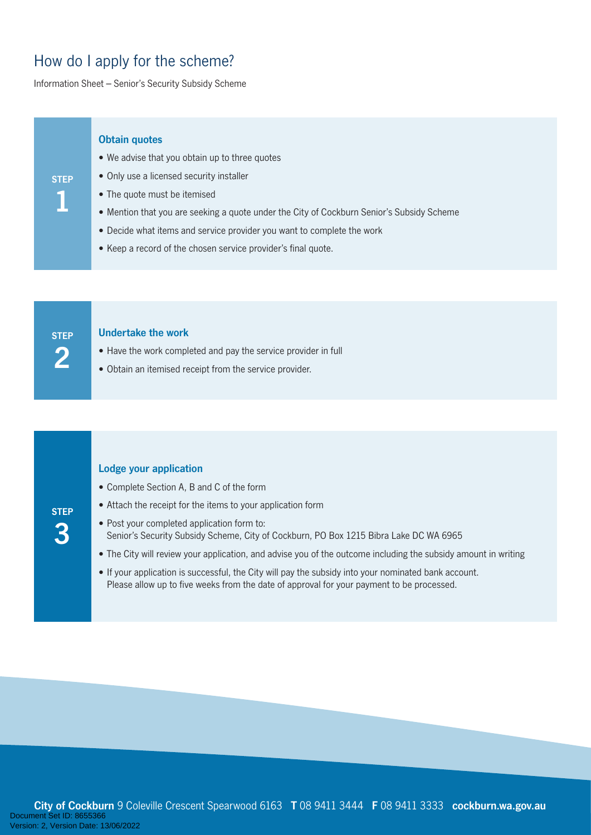## How do I apply for the scheme?

Information Sheet – Senior's Security Subsidy Scheme

#### **Obtain quotes**

- We advise that you obtain up to three quotes
- Only use a licensed security installer
- The quote must be itemised
- Mention that you are seeking a quote under the City of Cockburn Senior's Subsidy Scheme
- Decide what items and service provider you want to complete the work
- Keep a record of the chosen service provider's final quote.

**STEP 2**

**STEP** 

**3**

**STEP** 

**1**

### **Undertake the work**

- Have the work completed and pay the service provider in full
- Obtain an itemised receipt from the service provider.

#### **Lodge your application**

- Complete Section A, B and C of the form
- Attach the receipt for the items to your application form
- Post your completed application form to: Senior's Security Subsidy Scheme, City of Cockburn, PO Box 1215 Bibra Lake DC WA 6965
- The City will review your application, and advise you of the outcome including the subsidy amount in writing
- If your application is successful, the City will pay the subsidy into your nominated bank account. Please allow up to five weeks from the date of approval for your payment to be processed.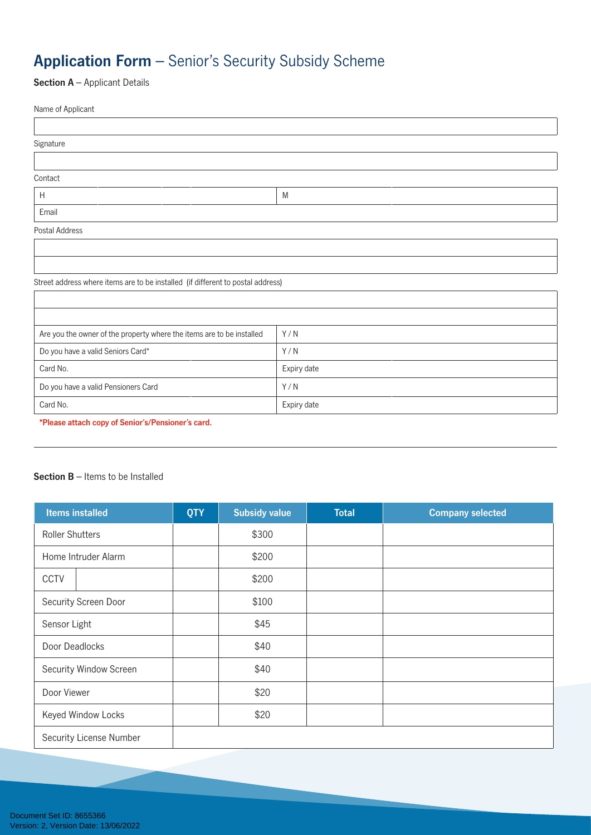## **Application Form** – Senior's Security Subsidy Scheme

**Section A** – Applicant Details

 $\sqrt{ }$ 

| Name of Applicant |   |
|-------------------|---|
|                   |   |
| Signature         |   |
|                   |   |
| Contact           |   |
| H                 | M |
| Email             |   |
| Postal Address    |   |
|                   |   |
|                   |   |

Street address where items are to be installed (if different to postal address)

| Are you the owner of the property where the items are to be installed | Y/N         |
|-----------------------------------------------------------------------|-------------|
| Do you have a valid Seniors Card*                                     | Y/N         |
| Card No.                                                              | Expiry date |
| Do you have a valid Pensioners Card                                   | Y/N         |
| Card No.                                                              | Expiry date |

I

**\*Please attach copy of Senior's/Pensioner's card.**

### **Section B** – Items to be Installed

| <b>Items installed</b>  | <b>QTY</b> | <b>Subsidy value</b> | <b>Total</b> | <b>Company selected</b> |
|-------------------------|------------|----------------------|--------------|-------------------------|
| <b>Roller Shutters</b>  |            | \$300                |              |                         |
| Home Intruder Alarm     |            | \$200                |              |                         |
| <b>CCTV</b>             |            | \$200                |              |                         |
| Security Screen Door    |            | \$100                |              |                         |
| Sensor Light            |            | \$45                 |              |                         |
| Door Deadlocks          |            | \$40                 |              |                         |
| Security Window Screen  |            | \$40                 |              |                         |
| Door Viewer             |            | \$20                 |              |                         |
| Keyed Window Locks      |            | \$20                 |              |                         |
| Security License Number |            |                      |              |                         |